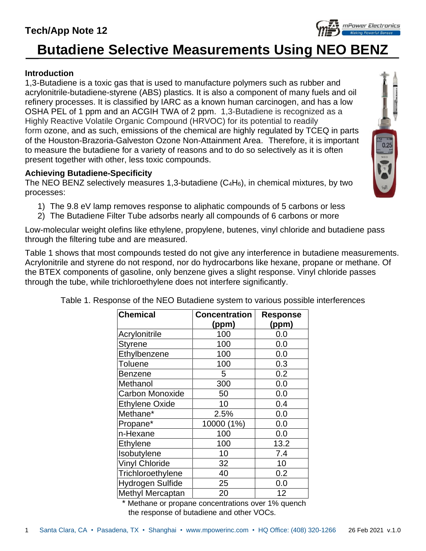## **Tech/App Note 12**

# **Butadiene Selective Measurements Using NEO BENZ**

#### **Introduction**

1,3-Butadiene is a toxic gas that is used to manufacture polymers such as rubber and acrylonitrile-butadiene-styrene (ABS) plastics. It is also a component of many fuels and oil refinery processes. It is classified by IARC as a known human carcinogen, and has a low OSHA PEL of 1 ppm and an ACGIH TWA of 2 ppm. 1,3-Butadiene is recognized as a Highly Reactive Volatile Organic Compound (HRVOC) for its potential to readily form [ozone,](https://en.wikipedia.org/wiki/Ozone) and as such, emissions of the chemical are highly regulated by [TCEQ](https://en.wikipedia.org/wiki/Texas_Commission_on_Environmental_Quality) in parts of the [Houston-Brazoria-Galveston](https://en.wikipedia.org/wiki/Greater_Houston) [Ozone Non-Attainment Area.](https://en.wikipedia.org/wiki/Non-Attainment_Area) Therefore, it is important to measure the butadiene for a variety of reasons and to do so selectively as it is often present together with other, less toxic compounds.

#### **Achieving Butadiene-Specificity**

The NEO BENZ selectively measures 1,3-butadiene  $(C_4H_6)$ , in chemical mixtures, by two processes:

- 1) The 9.8 eV lamp removes response to aliphatic compounds of 5 carbons or less
- 2) The Butadiene Filter Tube adsorbs nearly all compounds of 6 carbons or more

Low-molecular weight olefins like ethylene, propylene, butenes, vinyl chloride and butadiene pass through the filtering tube and are measured.

Table 1 shows that most compounds tested do not give any interference in butadiene measurements. Acrylonitrile and styrene do not respond, nor do hydrocarbons like hexane, propane or methane. Of the BTEX components of gasoline, only benzene gives a slight response. Vinyl chloride passes through the tube, while trichloroethylene does not interfere significantly.

| <b>Chemical</b>         | <b>Concentration</b> | <b>Response</b> |  |  |  |  |  |
|-------------------------|----------------------|-----------------|--|--|--|--|--|
|                         | (ppm)                | (ppm)           |  |  |  |  |  |
| Acrylonitrile           | 100                  | 0.0             |  |  |  |  |  |
| <b>Styrene</b>          | 100                  | 0.0             |  |  |  |  |  |
| Ethylbenzene            | 100                  | 0.0             |  |  |  |  |  |
| <b>Toluene</b>          | 100                  | 0.3             |  |  |  |  |  |
| <b>Benzene</b>          | 5                    | 0.2             |  |  |  |  |  |
| Methanol                | 300                  | 0.0             |  |  |  |  |  |
| <b>Carbon Monoxide</b>  | 50                   | 0.0             |  |  |  |  |  |
| <b>Ethylene Oxide</b>   | 10                   | 0.4             |  |  |  |  |  |
| Methane*                | 2.5%                 | 0.0             |  |  |  |  |  |
| Propane*                | 10000 (1%)           | 0.0             |  |  |  |  |  |
| n-Hexane                | 100                  | 0.0             |  |  |  |  |  |
| <b>Ethylene</b>         | 100                  | 13.2            |  |  |  |  |  |
| Isobutylene             | 10                   | 7.4             |  |  |  |  |  |
| <b>Vinyl Chloride</b>   | 32                   | 10              |  |  |  |  |  |
| Trichloroethylene       | 40                   | 0.2             |  |  |  |  |  |
| <b>Hydrogen Sulfide</b> | 25                   | 0.0             |  |  |  |  |  |
| Methyl Mercaptan        | 20                   | 12              |  |  |  |  |  |

Table 1. Response of the NEO Butadiene system to various possible interferences

\* Methane or propane concentrations over 1% quench the response of butadiene and other VOCs.



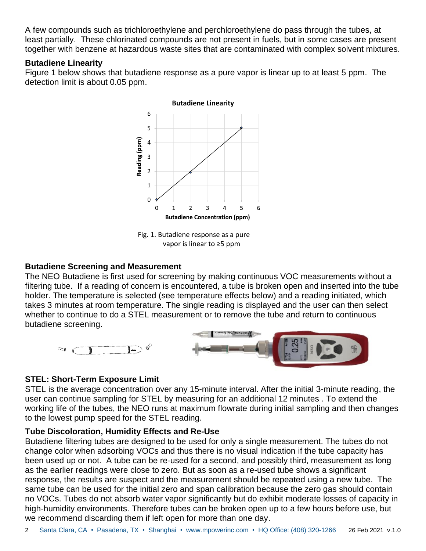A few compounds such as trichloroethylene and perchloroethylene do pass through the tubes, at least partially. These chlorinated compounds are not present in fuels, but in some cases are present together with benzene at hazardous waste sites that are contaminated with complex solvent mixtures.

#### **Butadiene Linearity**

Figure 1 below shows that butadiene response as a pure vapor is linear up to at least 5 ppm. The detection limit is about 0.05 ppm.



Fig. 1. Butadiene response as a pure vapor is linear to ≥5 ppm

#### **Butadiene Screening and Measurement**

The NEO Butadiene is first used for screening by making continuous VOC measurements without a filtering tube. If a reading of concern is encountered, a tube is broken open and inserted into the tube holder. The temperature is selected (see temperature effects below) and a reading initiated, which takes 3 minutes at room temperature. The single reading is displayed and the user can then select whether to continue to do a STEL measurement or to remove the tube and return to continuous butadiene screening.



#### **STEL: Short-Term Exposure Limit**

STEL is the average concentration over any 15-minute interval. After the initial 3-minute reading, the user can continue sampling for STEL by measuring for an additional 12 minutes . To extend the working life of the tubes, the NEO runs at maximum flowrate during initial sampling and then changes to the lowest pump speed for the STEL reading.

#### **Tube Discoloration, Humidity Effects and Re-Use**

Butadiene filtering tubes are designed to be used for only a single measurement. The tubes do not change color when adsorbing VOCs and thus there is no visual indication if the tube capacity has been used up or not. A tube can be re-used for a second, and possibly third, measurement as long as the earlier readings were close to zero. But as soon as a re-used tube shows a significant response, the results are suspect and the measurement should be repeated using a new tube. The same tube can be used for the initial zero and span calibration because the zero gas should contain no VOCs. Tubes do not absorb water vapor significantly but do exhibit moderate losses of capacity in high-humidity environments. Therefore tubes can be broken open up to a few hours before use, but we recommend discarding them if left open for more than one day.